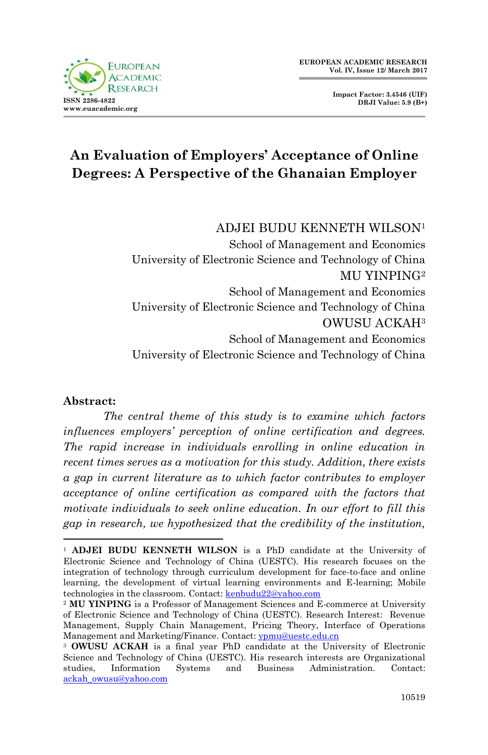



# **An Evaluation of Employers' Acceptance of Online Degrees: A Perspective of the Ghanaian Employer**

ADJEI BUDU KENNETH WILSON<sup>1</sup> School of Management and Economics University of Electronic Science and Technology of China MU YINPING<sup>2</sup> School of Management and Economics

University of Electronic Science and Technology of China OWUSU ACKAH<sup>3</sup> School of Management and Economics University of Electronic Science and Technology of China

# **Abstract:**

*The central theme of this study is to examine which factors influences employers' perception of online certification and degrees. The rapid increase in individuals enrolling in online education in recent times serves as a motivation for this study. Addition, there exists a gap in current literature as to which factor contributes to employer acceptance of online certification as compared with the factors that motivate individuals to seek online education. In our effort to fill this gap in research, we hypothesized that the credibility of the institution,* 

<sup>1</sup> <sup>1</sup> **ADJEI BUDU KENNETH WILSON** is a PhD candidate at the University of Electronic Science and Technology of China (UESTC). His research focuses on the integration of technology through curriculum development for face-to-face and online learning, the development of virtual learning environments and E-learning; Mobile technologies in the classroom. Contact: [kenbudu22@yahoo.com](mailto:kenbudu22@yahoo.com)

<sup>2</sup> **MU YINPING** is a Professor of Management Sciences and E-commerce at University of Electronic Science and Technology of China (UESTC). Research Interest: Revenue Management, Supply Chain Management, Pricing Theory, Interface of Operations Management and Marketing/Finance. Contact: [ypmu@uestc.edu.cn](mailto:ypmu@uestc.edu.cn)

<sup>3</sup> **OWUSU ACKAH** is a final year PhD candidate at the University of Electronic Science and Technology of China (UESTC). His research interests are Organizational studies, Information Systems and Business Administration. Contact: [ackah\\_owusu@yahoo.com](mailto:ackah_owusu@yahoo.com)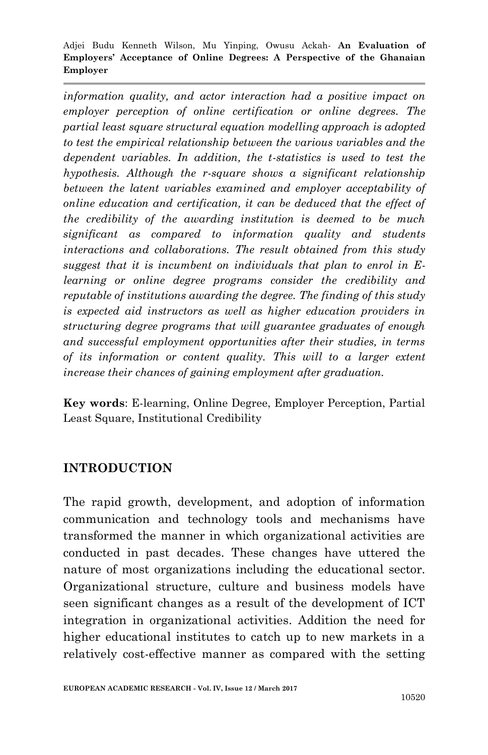*information quality, and actor interaction had a positive impact on employer perception of online certification or online degrees. The partial least square structural equation modelling approach is adopted to test the empirical relationship between the various variables and the dependent variables. In addition, the t-statistics is used to test the hypothesis. Although the r-square shows a significant relationship between the latent variables examined and employer acceptability of online education and certification, it can be deduced that the effect of the credibility of the awarding institution is deemed to be much significant as compared to information quality and students interactions and collaborations. The result obtained from this study suggest that it is incumbent on individuals that plan to enrol in Elearning or online degree programs consider the credibility and reputable of institutions awarding the degree. The finding of this study is expected aid instructors as well as higher education providers in structuring degree programs that will guarantee graduates of enough and successful employment opportunities after their studies, in terms of its information or content quality. This will to a larger extent increase their chances of gaining employment after graduation.* 

**Key words**: E-learning, Online Degree, Employer Perception, Partial Least Square, Institutional Credibility

#### **INTRODUCTION**

The rapid growth, development, and adoption of information communication and technology tools and mechanisms have transformed the manner in which organizational activities are conducted in past decades. These changes have uttered the nature of most organizations including the educational sector. Organizational structure, culture and business models have seen significant changes as a result of the development of ICT integration in organizational activities. Addition the need for higher educational institutes to catch up to new markets in a relatively cost-effective manner as compared with the setting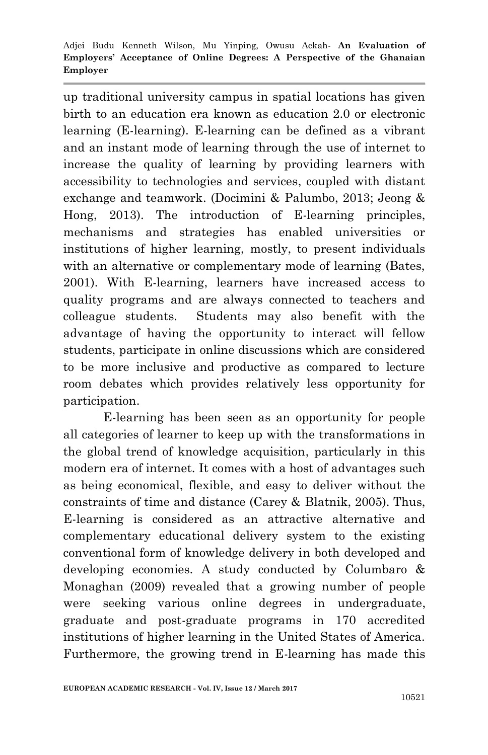up traditional university campus in spatial locations has given birth to an education era known as education 2.0 or electronic learning (E-learning). E-learning can be defined as a vibrant and an instant mode of learning through the use of internet to increase the quality of learning by providing learners with accessibility to technologies and services, coupled with distant exchange and teamwork. (Docimini & Palumbo, 2013; Jeong & Hong, 2013). The introduction of E-learning principles, mechanisms and strategies has enabled universities or institutions of higher learning, mostly, to present individuals with an alternative or complementary mode of learning (Bates, 2001). With E-learning, learners have increased access to quality programs and are always connected to teachers and colleague students. Students may also benefit with the advantage of having the opportunity to interact will fellow students, participate in online discussions which are considered to be more inclusive and productive as compared to lecture room debates which provides relatively less opportunity for participation.

E-learning has been seen as an opportunity for people all categories of learner to keep up with the transformations in the global trend of knowledge acquisition, particularly in this modern era of internet. It comes with a host of advantages such as being economical, flexible, and easy to deliver without the constraints of time and distance (Carey & Blatnik, 2005). Thus, E-learning is considered as an attractive alternative and complementary educational delivery system to the existing conventional form of knowledge delivery in both developed and developing economies. A study conducted by Columbaro & Monaghan (2009) revealed that a growing number of people were seeking various online degrees in undergraduate, graduate and post-graduate programs in 170 accredited institutions of higher learning in the United States of America. Furthermore, the growing trend in E-learning has made this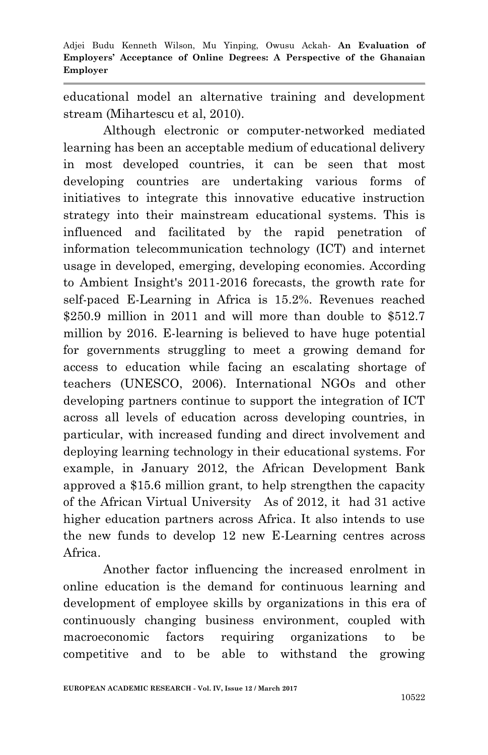educational model an alternative training and development stream (Mihartescu et al, 2010).

Although electronic or computer-networked mediated learning has been an acceptable medium of educational delivery in most developed countries, it can be seen that most developing countries are undertaking various forms of initiatives to integrate this innovative educative instruction strategy into their mainstream educational systems. This is influenced and facilitated by the rapid penetration of information telecommunication technology (ICT) and internet usage in developed, emerging, developing economies. According to Ambient Insight's 2011-2016 forecasts, the growth rate for self-paced E-Learning in Africa is 15.2%. Revenues reached  $$250.9$  million in 2011 and will more than double to  $$512.7$ million by 2016. E-learning is believed to have huge potential for governments struggling to meet a growing demand for access to education while facing an escalating shortage of teachers (UNESCO, 2006). International NGOs and other developing partners continue to support the integration of ICT across all levels of education across developing countries, in particular, with increased funding and direct involvement and deploying learning technology in their educational systems. For example, in January 2012, the African Development Bank approved a \$15.6 million grant, to help strengthen the capacity of the African Virtual University As of 2012, it had 31 active higher education partners across Africa. It also intends to use the new funds to develop 12 new E-Learning centres across Africa.

Another factor influencing the increased enrolment in online education is the demand for continuous learning and development of employee skills by organizations in this era of continuously changing business environment, coupled with macroeconomic factors requiring organizations to be competitive and to be able to withstand the growing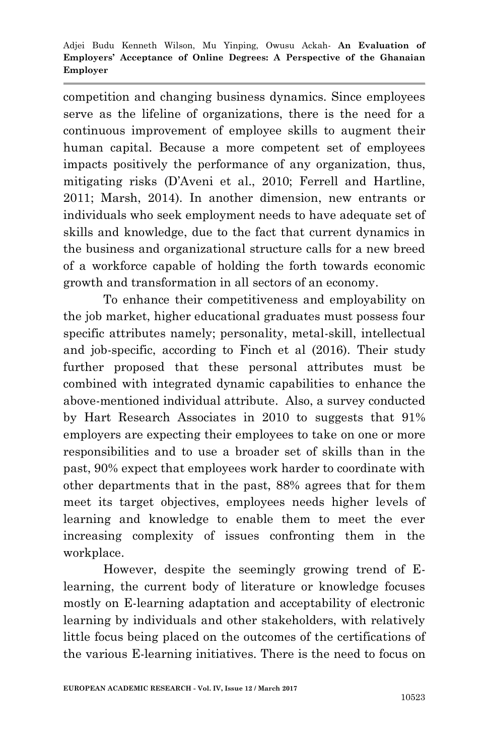competition and changing business dynamics. Since employees serve as the lifeline of organizations, there is the need for a continuous improvement of employee skills to augment their human capital. Because a more competent set of employees impacts positively the performance of any organization, thus, mitigating risks (D'Aveni et al., 2010; Ferrell and Hartline, 2011; Marsh, 2014). In another dimension, new entrants or individuals who seek employment needs to have adequate set of skills and knowledge, due to the fact that current dynamics in the business and organizational structure calls for a new breed of a workforce capable of holding the forth towards economic growth and transformation in all sectors of an economy.

To enhance their competitiveness and employability on the job market, higher educational graduates must possess four specific attributes namely; personality, metal-skill, intellectual and job-specific, according to Finch et al (2016). Their study further proposed that these personal attributes must be combined with integrated dynamic capabilities to enhance the above-mentioned individual attribute. Also, a survey conducted by Hart Research Associates in 2010 to suggests that 91% employers are expecting their employees to take on one or more responsibilities and to use a broader set of skills than in the past, 90% expect that employees work harder to coordinate with other departments that in the past, 88% agrees that for them meet its target objectives, employees needs higher levels of learning and knowledge to enable them to meet the ever increasing complexity of issues confronting them in the workplace.

However, despite the seemingly growing trend of Elearning, the current body of literature or knowledge focuses mostly on E-learning adaptation and acceptability of electronic learning by individuals and other stakeholders, with relatively little focus being placed on the outcomes of the certifications of the various E-learning initiatives. There is the need to focus on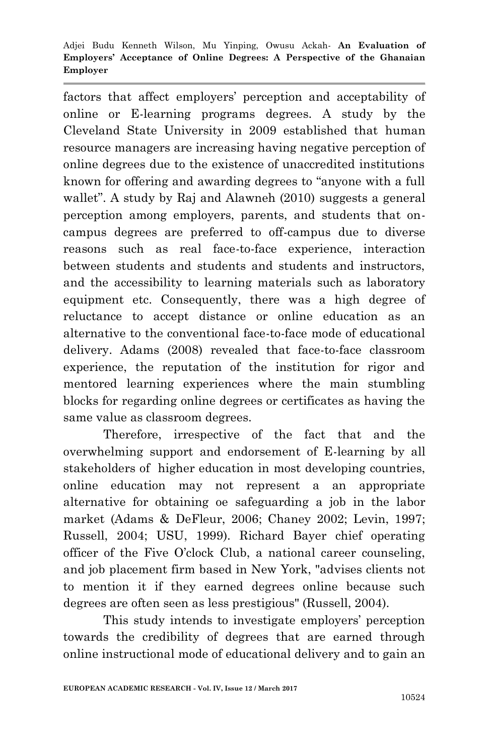factors that affect employers' perception and acceptability of online or E-learning programs degrees. A study by the Cleveland State University in 2009 established that human resource managers are increasing having negative perception of online degrees due to the existence of unaccredited institutions known for offering and awarding degrees to "anyone with a full wallet". A study by Raj and Alawneh (2010) suggests a general perception among employers, parents, and students that oncampus degrees are preferred to off-campus due to diverse reasons such as real face-to-face experience, interaction between students and students and students and instructors, and the accessibility to learning materials such as laboratory equipment etc. Consequently, there was a high degree of reluctance to accept distance or online education as an alternative to the conventional face-to-face mode of educational delivery. Adams (2008) revealed that face-to-face classroom experience, the reputation of the institution for rigor and mentored learning experiences where the main stumbling blocks for regarding online degrees or certificates as having the same value as classroom degrees.

Therefore, irrespective of the fact that and the overwhelming support and endorsement of E-learning by all stakeholders of higher education in most developing countries, online education may not represent a an appropriate alternative for obtaining oe safeguarding a job in the labor market (Adams & DeFleur, 2006; Chaney 2002; Levin, 1997; Russell, 2004; USU, 1999). Richard Bayer chief operating officer of the Five O'clock Club, a national career counseling, and job placement firm based in New York, "advises clients not to mention it if they earned degrees online because such degrees are often seen as less prestigious" (Russell, 2004).

This study intends to investigate employers' perception towards the credibility of degrees that are earned through online instructional mode of educational delivery and to gain an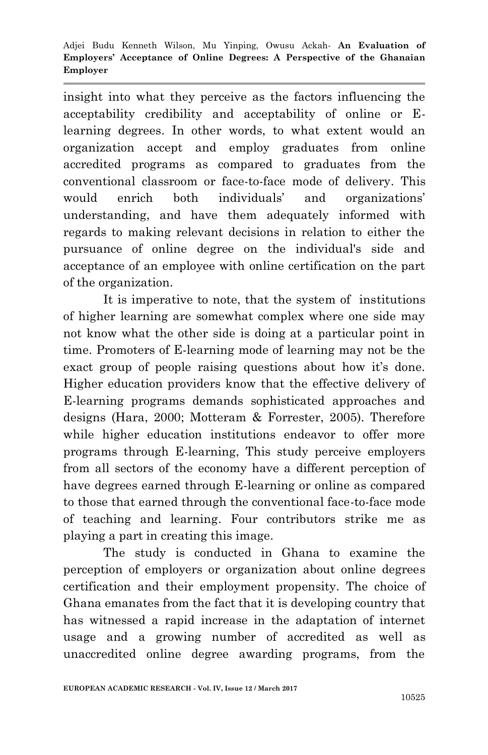insight into what they perceive as the factors influencing the acceptability credibility and acceptability of online or Elearning degrees. In other words, to what extent would an organization accept and employ graduates from online accredited programs as compared to graduates from the conventional classroom or face-to-face mode of delivery. This would enrich both individuals' and organizations' understanding, and have them adequately informed with regards to making relevant decisions in relation to either the pursuance of online degree on the individual's side and acceptance of an employee with online certification on the part of the organization.

It is imperative to note, that the system of institutions of higher learning are somewhat complex where one side may not know what the other side is doing at a particular point in time. Promoters of E-learning mode of learning may not be the exact group of people raising questions about how it's done. Higher education providers know that the effective delivery of E-learning programs demands sophisticated approaches and designs (Hara, 2000; Motteram & Forrester, 2005). Therefore while higher education institutions endeavor to offer more programs through E-learning, This study perceive employers from all sectors of the economy have a different perception of have degrees earned through E-learning or online as compared to those that earned through the conventional face-to-face mode of teaching and learning. Four contributors strike me as playing a part in creating this image.

The study is conducted in Ghana to examine the perception of employers or organization about online degrees certification and their employment propensity. The choice of Ghana emanates from the fact that it is developing country that has witnessed a rapid increase in the adaptation of internet usage and a growing number of accredited as well as unaccredited online degree awarding programs, from the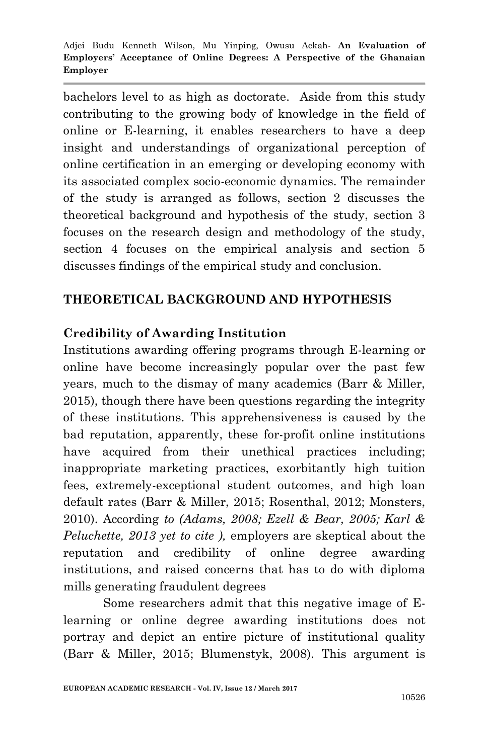bachelors level to as high as doctorate. Aside from this study contributing to the growing body of knowledge in the field of online or E-learning, it enables researchers to have a deep insight and understandings of organizational perception of online certification in an emerging or developing economy with its associated complex socio-economic dynamics. The remainder of the study is arranged as follows, section 2 discusses the theoretical background and hypothesis of the study, section 3 focuses on the research design and methodology of the study, section 4 focuses on the empirical analysis and section 5 discusses findings of the empirical study and conclusion.

# **THEORETICAL BACKGROUND AND HYPOTHESIS**

### **Credibility of Awarding Institution**

Institutions awarding offering programs through E-learning or online have become increasingly popular over the past few years, much to the dismay of many academics (Barr & Miller, 2015), though there have been questions regarding the integrity of these institutions. This apprehensiveness is caused by the bad reputation, apparently, these for-profit online institutions have acquired from their unethical practices including; inappropriate marketing practices, exorbitantly high tuition fees, extremely-exceptional student outcomes, and high loan default rates (Barr & Miller, 2015; Rosenthal, 2012; Monsters, 2010). According *to (Adams, 2008; Ezell & Bear, 2005; Karl & Peluchette, 2013 yet to cite ),* employers are skeptical about the reputation and credibility of online degree awarding institutions, and raised concerns that has to do with diploma mills generating fraudulent degrees

Some researchers admit that this negative image of Elearning or online degree awarding institutions does not portray and depict an entire picture of institutional quality (Barr & Miller, 2015; Blumenstyk, 2008). This argument is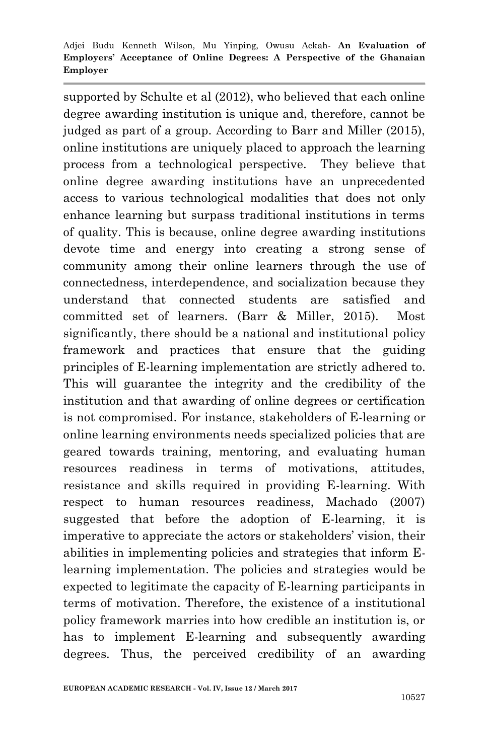supported by Schulte et al (2012), who believed that each online degree awarding institution is unique and, therefore, cannot be judged as part of a group. According to Barr and Miller (2015), online institutions are uniquely placed to approach the learning process from a technological perspective. They believe that online degree awarding institutions have an unprecedented access to various technological modalities that does not only enhance learning but surpass traditional institutions in terms of quality. This is because, online degree awarding institutions devote time and energy into creating a strong sense of community among their online learners through the use of connectedness, interdependence, and socialization because they understand that connected students are satisfied and committed set of learners. (Barr & Miller, 2015). Most significantly, there should be a national and institutional policy framework and practices that ensure that the guiding principles of E-learning implementation are strictly adhered to. This will guarantee the integrity and the credibility of the institution and that awarding of online degrees or certification is not compromised. For instance, stakeholders of E-learning or online learning environments needs specialized policies that are geared towards training, mentoring, and evaluating human resources readiness in terms of motivations, attitudes, resistance and skills required in providing E-learning. With respect to human resources readiness, Machado (2007) suggested that before the adoption of E-learning, it is imperative to appreciate the actors or stakeholders' vision, their abilities in implementing policies and strategies that inform Elearning implementation. The policies and strategies would be expected to legitimate the capacity of E-learning participants in terms of motivation. Therefore, the existence of a institutional policy framework marries into how credible an institution is, or has to implement E-learning and subsequently awarding degrees. Thus, the perceived credibility of an awarding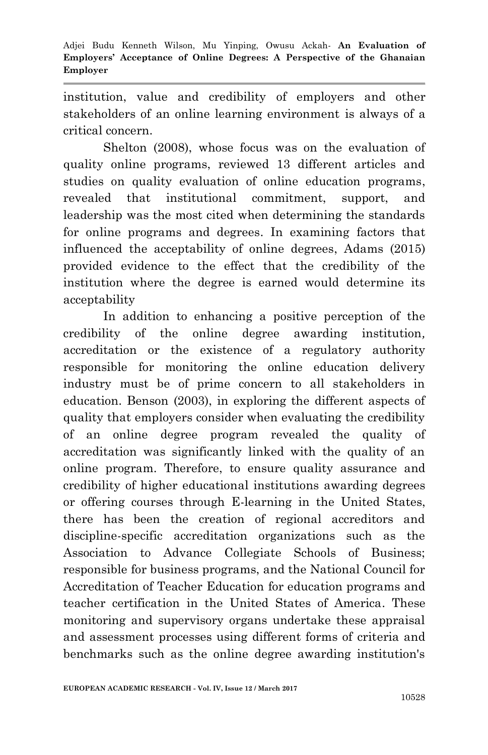institution, value and credibility of employers and other stakeholders of an online learning environment is always of a critical concern.

Shelton (2008), whose focus was on the evaluation of quality online programs, reviewed 13 different articles and studies on quality evaluation of online education programs, revealed that institutional commitment, support, and leadership was the most cited when determining the standards for online programs and degrees. In examining factors that influenced the acceptability of online degrees, Adams (2015) provided evidence to the effect that the credibility of the institution where the degree is earned would determine its acceptability

In addition to enhancing a positive perception of the credibility of the online degree awarding institution*,*  accreditation or the existence of a regulatory authority responsible for monitoring the online education delivery industry must be of prime concern to all stakeholders in education. Benson (2003), in exploring the different aspects of quality that employers consider when evaluating the credibility of an online degree program revealed the quality of accreditation was significantly linked with the quality of an online program. Therefore, to ensure quality assurance and credibility of higher educational institutions awarding degrees or offering courses through E-learning in the United States, there has been the creation of regional accreditors and discipline-specific accreditation organizations such as the Association to Advance Collegiate Schools of Business; responsible for business programs, and the National Council for Accreditation of Teacher Education for education programs and teacher certification in the United States of America. These monitoring and supervisory organs undertake these appraisal and assessment processes using different forms of criteria and benchmarks such as the online degree awarding institution's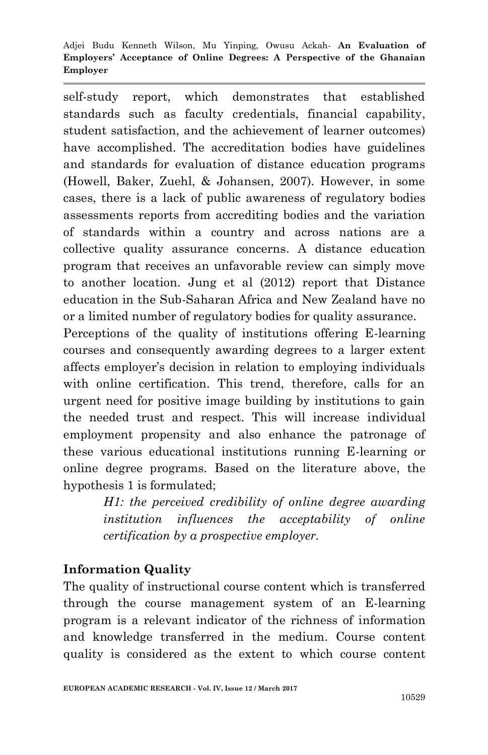self-study report, which demonstrates that established standards such as faculty credentials, financial capability, student satisfaction, and the achievement of learner outcomes) have accomplished. The accreditation bodies have guidelines and standards for evaluation of distance education programs (Howell, Baker, Zuehl, & Johansen, 2007). However, in some cases, there is a lack of public awareness of regulatory bodies assessments reports from accrediting bodies and the variation of standards within a country and across nations are a collective quality assurance concerns. A distance education program that receives an unfavorable review can simply move to another location. Jung et al (2012) report that Distance education in the Sub-Saharan Africa and New Zealand have no or a limited number of regulatory bodies for quality assurance.

Perceptions of the quality of institutions offering E-learning courses and consequently awarding degrees to a larger extent affects employer's decision in relation to employing individuals with online certification. This trend, therefore, calls for an urgent need for positive image building by institutions to gain the needed trust and respect. This will increase individual employment propensity and also enhance the patronage of these various educational institutions running E-learning or online degree programs. Based on the literature above, the hypothesis 1 is formulated;

> *H1: the perceived credibility of online degree awarding institution influences the acceptability of online certification by a prospective employer.*

# **Information Quality**

The quality of instructional course content which is transferred through the course management system of an E-learning program is a relevant indicator of the richness of information and knowledge transferred in the medium. Course content quality is considered as the extent to which course content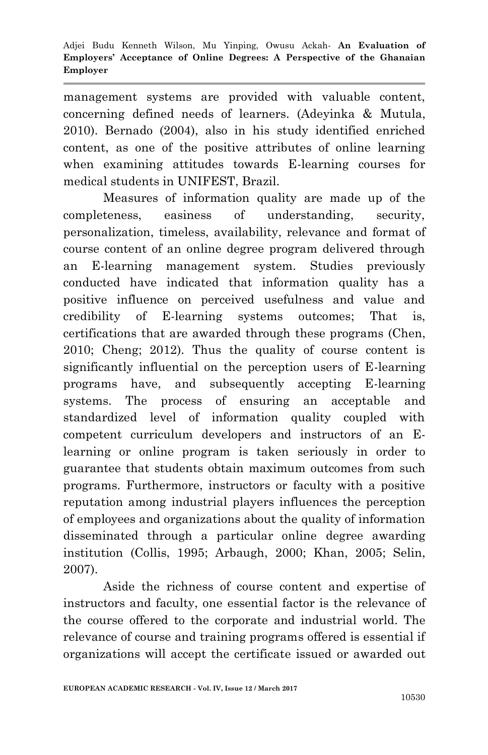management systems are provided with valuable content, concerning defined needs of learners. (Adeyinka & Mutula, 2010). Bernado (2004), also in his study identified enriched content, as one of the positive attributes of online learning when examining attitudes towards E-learning courses for medical students in UNIFEST, Brazil.

Measures of information quality are made up of the completeness, easiness of understanding, security, personalization, timeless, availability, relevance and format of course content of an online degree program delivered through an E-learning management system. Studies previously conducted have indicated that information quality has a positive influence on perceived usefulness and value and credibility of E-learning systems outcomes; That is, certifications that are awarded through these programs (Chen, 2010; Cheng; 2012). Thus the quality of course content is significantly influential on the perception users of E-learning programs have, and subsequently accepting E-learning systems. The process of ensuring an acceptable and standardized level of information quality coupled with competent curriculum developers and instructors of an Elearning or online program is taken seriously in order to guarantee that students obtain maximum outcomes from such programs. Furthermore, instructors or faculty with a positive reputation among industrial players influences the perception of employees and organizations about the quality of information disseminated through a particular online degree awarding institution (Collis, 1995; Arbaugh, 2000; Khan, 2005; Selin, 2007).

Aside the richness of course content and expertise of instructors and faculty, one essential factor is the relevance of the course offered to the corporate and industrial world. The relevance of course and training programs offered is essential if organizations will accept the certificate issued or awarded out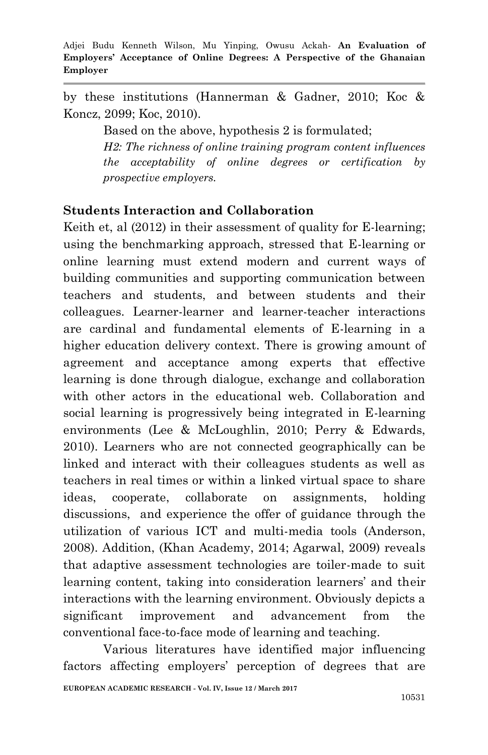by these institutions (Hannerman & Gadner, 2010; Koc & Koncz, 2099; Koc, 2010).

Based on the above, hypothesis 2 is formulated;

*H2: The richness of online training program content influences the acceptability of online degrees or certification by prospective employers.*

### **Students Interaction and Collaboration**

Keith et, al  $(2012)$  in their assessment of quality for E-learning: using the benchmarking approach, stressed that E-learning or online learning must extend modern and current ways of building communities and supporting communication between teachers and students, and between students and their colleagues. Learner-learner and learner-teacher interactions are cardinal and fundamental elements of E-learning in a higher education delivery context. There is growing amount of agreement and acceptance among experts that effective learning is done through dialogue, exchange and collaboration with other actors in the educational web. Collaboration and social learning is progressively being integrated in E-learning environments (Lee & McLoughlin, 2010; Perry & Edwards, 2010). Learners who are not connected geographically can be linked and interact with their colleagues students as well as teachers in real times or within a linked virtual space to share ideas, cooperate, collaborate on assignments, holding discussions, and experience the offer of guidance through the utilization of various ICT and multi-media tools (Anderson, 2008). Addition, (Khan Academy, 2014; Agarwal, 2009) reveals that adaptive assessment technologies are toiler-made to suit learning content, taking into consideration learners' and their interactions with the learning environment. Obviously depicts a significant improvement and advancement from the conventional face-to-face mode of learning and teaching.

Various literatures have identified major influencing factors affecting employers' perception of degrees that are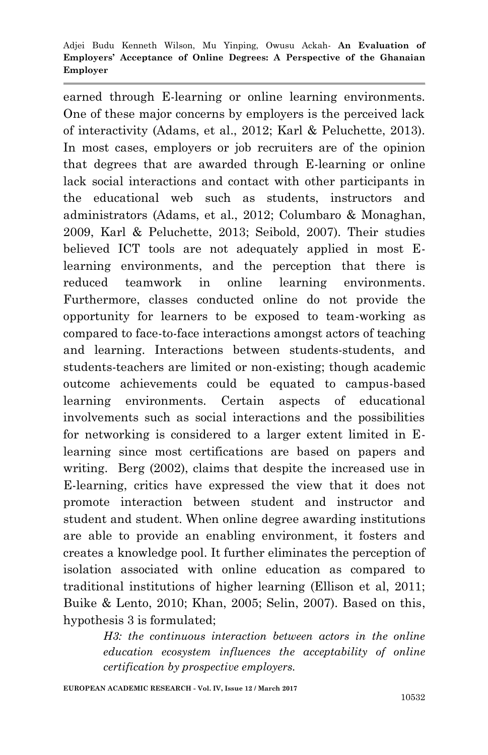earned through E-learning or online learning environments. One of these major concerns by employers is the perceived lack of interactivity (Adams, et al., 2012; Karl & Peluchette, 2013). In most cases, employers or job recruiters are of the opinion that degrees that are awarded through E-learning or online lack social interactions and contact with other participants in the educational web such as students, instructors and administrators (Adams, et al., 2012; Columbaro & Monaghan, 2009, Karl & Peluchette, 2013; Seibold, 2007). Their studies believed ICT tools are not adequately applied in most Elearning environments, and the perception that there is reduced teamwork in online learning environments. Furthermore, classes conducted online do not provide the opportunity for learners to be exposed to team-working as compared to face-to-face interactions amongst actors of teaching and learning. Interactions between students-students, and students-teachers are limited or non-existing; though academic outcome achievements could be equated to campus-based learning environments. Certain aspects of educational involvements such as social interactions and the possibilities for networking is considered to a larger extent limited in Elearning since most certifications are based on papers and writing. Berg (2002), claims that despite the increased use in E-learning, critics have expressed the view that it does not promote interaction between student and instructor and student and student. When online degree awarding institutions are able to provide an enabling environment, it fosters and creates a knowledge pool. It further eliminates the perception of isolation associated with online education as compared to traditional institutions of higher learning (Ellison et al, 2011; Buike & Lento, 2010; Khan, 2005; Selin, 2007). Based on this, hypothesis 3 is formulated;

> *H3: the continuous interaction between actors in the online education ecosystem influences the acceptability of online certification by prospective employers.*

**EUROPEAN ACADEMIC RESEARCH - Vol. IV, Issue 12 / March 2017**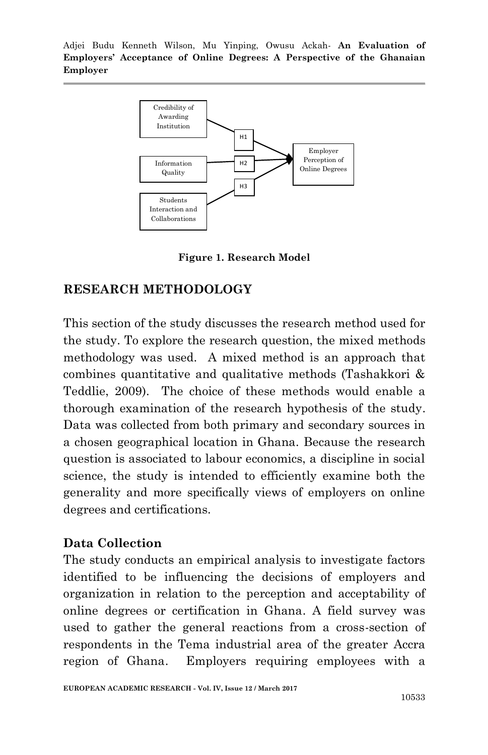

**Figure 1. Research Model**

#### **RESEARCH METHODOLOGY**

This section of the study discusses the research method used for the study. To explore the research question, the mixed methods methodology was used. A mixed method is an approach that combines quantitative and qualitative methods (Tashakkori & Teddlie, 2009). The choice of these methods would enable a thorough examination of the research hypothesis of the study. Data was collected from both primary and secondary sources in a chosen geographical location in Ghana. Because the research question is associated to labour economics, a discipline in social science, the study is intended to efficiently examine both the generality and more specifically views of employers on online degrees and certifications.

### **Data Collection**

The study conducts an empirical analysis to investigate factors identified to be influencing the decisions of employers and organization in relation to the perception and acceptability of online degrees or certification in Ghana. A field survey was used to gather the general reactions from a cross-section of respondents in the Tema industrial area of the greater Accra region of Ghana. Employers requiring employees with a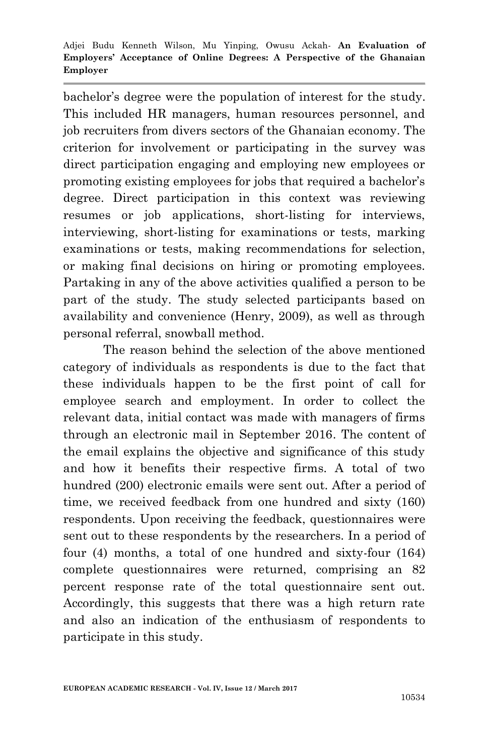bachelor's degree were the population of interest for the study. This included HR managers, human resources personnel, and job recruiters from divers sectors of the Ghanaian economy. The criterion for involvement or participating in the survey was direct participation engaging and employing new employees or promoting existing employees for jobs that required a bachelor's degree. Direct participation in this context was reviewing resumes or job applications, short-listing for interviews, interviewing, short-listing for examinations or tests, marking examinations or tests, making recommendations for selection, or making final decisions on hiring or promoting employees. Partaking in any of the above activities qualified a person to be part of the study. The study selected participants based on availability and convenience (Henry, 2009), as well as through personal referral, snowball method.

The reason behind the selection of the above mentioned category of individuals as respondents is due to the fact that these individuals happen to be the first point of call for employee search and employment. In order to collect the relevant data, initial contact was made with managers of firms through an electronic mail in September 2016. The content of the email explains the objective and significance of this study and how it benefits their respective firms. A total of two hundred (200) electronic emails were sent out. After a period of time, we received feedback from one hundred and sixty (160) respondents. Upon receiving the feedback, questionnaires were sent out to these respondents by the researchers. In a period of four (4) months, a total of one hundred and sixty-four (164) complete questionnaires were returned, comprising an 82 percent response rate of the total questionnaire sent out. Accordingly, this suggests that there was a high return rate and also an indication of the enthusiasm of respondents to participate in this study.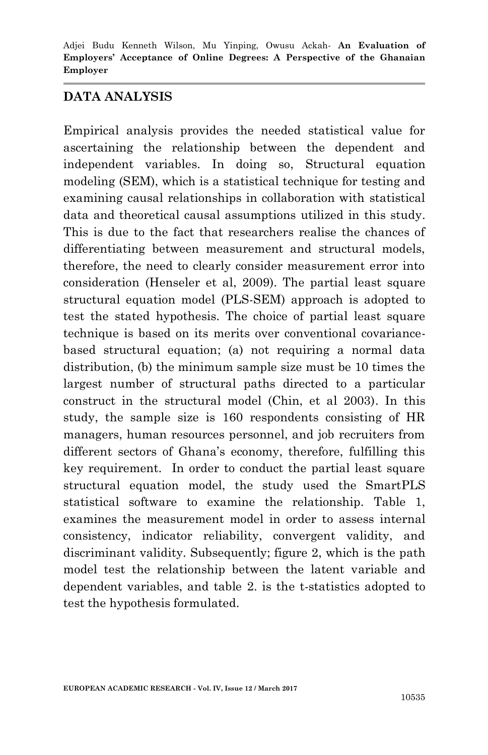#### **DATA ANALYSIS**

Empirical analysis provides the needed statistical value for ascertaining the relationship between the dependent and independent variables. In doing so, Structural equation modeling (SEM), which is a statistical technique for testing and examining causal relationships in collaboration with statistical data and theoretical causal assumptions utilized in this study. This is due to the fact that researchers realise the chances of differentiating between measurement and structural models, therefore, the need to clearly consider measurement error into consideration (Henseler et al, 2009). The partial least square structural equation model (PLS-SEM) approach is adopted to test the stated hypothesis. The choice of partial least square technique is based on its merits over conventional covariancebased structural equation; (a) not requiring a normal data distribution, (b) the minimum sample size must be 10 times the largest number of structural paths directed to a particular construct in the structural model (Chin, et al 2003). In this study, the sample size is 160 respondents consisting of HR managers, human resources personnel, and job recruiters from different sectors of Ghana's economy, therefore, fulfilling this key requirement. In order to conduct the partial least square structural equation model, the study used the SmartPLS statistical software to examine the relationship. Table 1, examines the measurement model in order to assess internal consistency, indicator reliability, convergent validity, and discriminant validity. Subsequently; figure 2, which is the path model test the relationship between the latent variable and dependent variables, and table 2. is the t-statistics adopted to test the hypothesis formulated.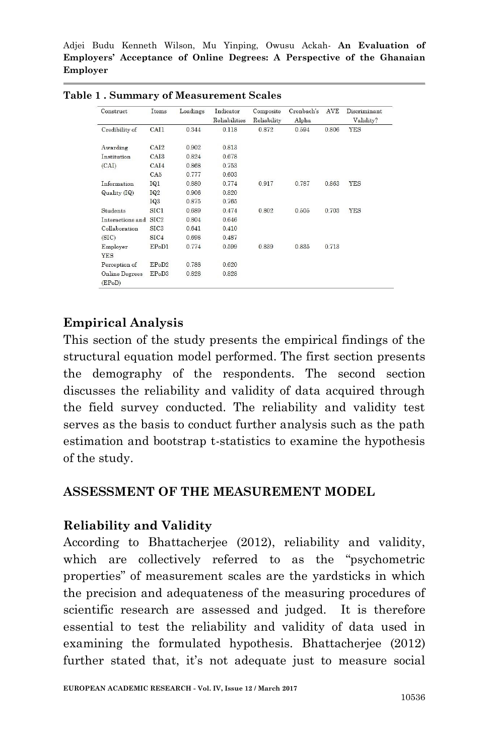| Construct                | Items            | Loadings | Indicator     | Composite   | Cronbach's | AVE   | Discriminant |
|--------------------------|------------------|----------|---------------|-------------|------------|-------|--------------|
|                          |                  |          | Reliabilities | Reliability | Alpha      |       | Validity?    |
| Credibility of           | CAI1             | 0.344    | 0.118         | 0.872       | 0.594      | 0.806 | <b>YES</b>   |
| Awarding                 | CAI <sub>2</sub> | 0.902    | 0.813         |             |            |       |              |
| Institution              | CAI <sub>3</sub> | 0.824    | 0.678         |             |            |       |              |
| (CAI)                    | CAI4             | 0.868    | 0.753         |             |            |       |              |
|                          | CA5              | 0.777    | 0.603         |             |            |       |              |
| Information              | IQ1              | 0.880    | 0.774         | 0.917       | 0.787      | 0.863 | <b>YES</b>   |
| Quality (IQ)             | <b>IQ2</b>       | 0.906    | 0.820         |             |            |       |              |
|                          | IQ <sub>3</sub>  | 0.875    | 0.765         |             |            |       |              |
| Students                 | SIC1             | 0.689    | 0.474         | 0.802       | 0.505      | 0.703 | YES          |
| Interactions and         | SIC <sub>2</sub> | 0.804    | 0.646         |             |            |       |              |
| Collaboration            | SIC <sub>3</sub> | 0.641    | 0.410         |             |            |       |              |
| (SIC)                    | SIC4             | 0.698    | 0.487         |             |            |       |              |
| Employer                 | EPoD1            | 0.774    | 0.599         | 0.839       | 0.835      | 0.713 |              |
| <b>YES</b>               |                  |          |               |             |            |       |              |
| Perception of            | EPoD2            | 0.788    | 0.620         |             |            |       |              |
| Online Degrees<br>(EPoD) | EPoD3            | 0.828    | 0.828         |             |            |       |              |

**Table 1 . Summary of Measurement Scales**

## **Empirical Analysis**

This section of the study presents the empirical findings of the structural equation model performed. The first section presents the demography of the respondents. The second section discusses the reliability and validity of data acquired through the field survey conducted. The reliability and validity test serves as the basis to conduct further analysis such as the path estimation and bootstrap t-statistics to examine the hypothesis of the study.

#### **ASSESSMENT OF THE MEASUREMENT MODEL**

#### **Reliability and Validity**

According to Bhattacherjee (2012), reliability and validity, which are collectively referred to as the "psychometric properties" of measurement scales are the yardsticks in which the precision and adequateness of the measuring procedures of scientific research are assessed and judged. It is therefore essential to test the reliability and validity of data used in examining the formulated hypothesis. Bhattacherjee (2012) further stated that, it's not adequate just to measure social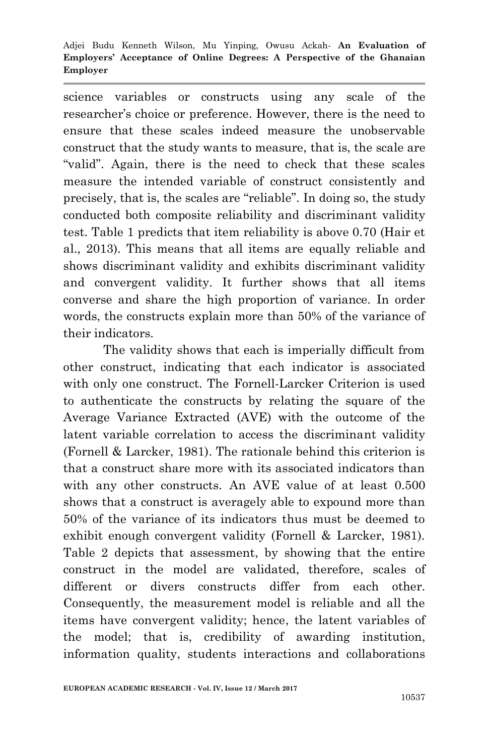science variables or constructs using any scale of the researcher's choice or preference. However, there is the need to ensure that these scales indeed measure the unobservable construct that the study wants to measure, that is, the scale are "valid". Again, there is the need to check that these scales measure the intended variable of construct consistently and precisely, that is, the scales are "reliable". In doing so, the study conducted both composite reliability and discriminant validity test. Table 1 predicts that item reliability is above 0.70 (Hair et al., 2013). This means that all items are equally reliable and shows discriminant validity and exhibits discriminant validity and convergent validity. It further shows that all items converse and share the high proportion of variance. In order words, the constructs explain more than 50% of the variance of their indicators.

The validity shows that each is imperially difficult from other construct, indicating that each indicator is associated with only one construct. The Fornell-Larcker Criterion is used to authenticate the constructs by relating the square of the Average Variance Extracted (AVE) with the outcome of the latent variable correlation to access the discriminant validity (Fornell & Larcker, 1981). The rationale behind this criterion is that a construct share more with its associated indicators than with any other constructs. An AVE value of at least 0.500 shows that a construct is averagely able to expound more than 50% of the variance of its indicators thus must be deemed to exhibit enough convergent validity (Fornell & Larcker, 1981). Table 2 depicts that assessment, by showing that the entire construct in the model are validated, therefore, scales of different or divers constructs differ from each other. Consequently, the measurement model is reliable and all the items have convergent validity; hence, the latent variables of the model; that is, credibility of awarding institution, information quality, students interactions and collaborations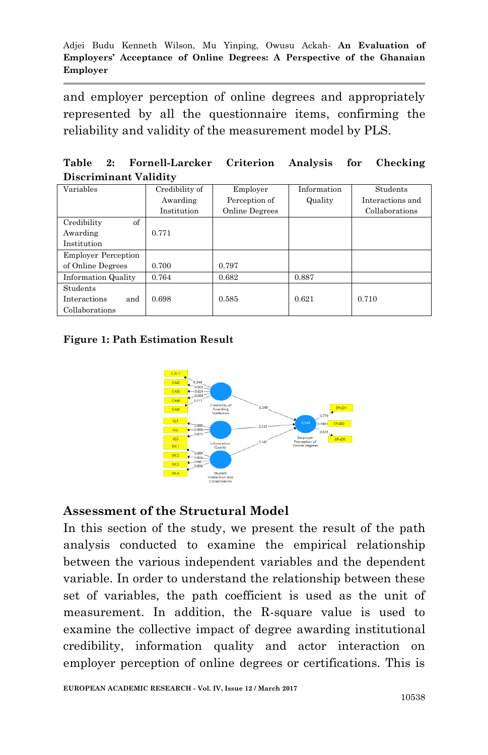and employer perception of online degrees and appropriately represented by all the questionnaire items, confirming the reliability and validity of the measurement model by PLS.

|  | Table 2: Fornell-Larcker Criterion Analysis for Checking |  |  |
|--|----------------------------------------------------------|--|--|
|  | Discriminant Validity                                    |  |  |

| Variables                  | Credibility of | Employer       | Information | Students         |
|----------------------------|----------------|----------------|-------------|------------------|
|                            | Awarding       | Perception of  | Quality     | Interactions and |
|                            | Institution    | Online Degrees |             | Collaborations   |
| of<br>Credibility          |                |                |             |                  |
| Awarding                   | 0.771          |                |             |                  |
| Institution                |                |                |             |                  |
| <b>Employer Perception</b> |                |                |             |                  |
| of Online Degrees          | 0.700          | 0.797          |             |                  |
| <b>Information Quality</b> | 0.764          | 0.682          | 0.887       |                  |
| Students                   |                |                |             |                  |
| and<br>Interactions        | 0.698          | 0.585          | 0.621       | 0.710            |
| Collaborations             |                |                |             |                  |

#### **Figure 1: Path Estimation Result**



#### **Assessment of the Structural Model**

In this section of the study, we present the result of the path analysis conducted to examine the empirical relationship between the various independent variables and the dependent variable. In order to understand the relationship between these set of variables, the path coefficient is used as the unit of measurement. In addition, the R-square value is used to examine the collective impact of degree awarding institutional credibility, information quality and actor interaction on employer perception of online degrees or certifications. This is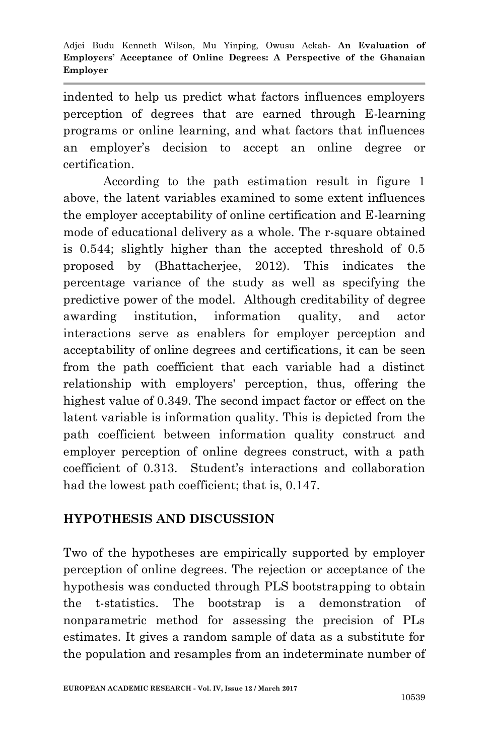indented to help us predict what factors influences employers perception of degrees that are earned through E-learning programs or online learning, and what factors that influences an employer's decision to accept an online degree or certification.

According to the path estimation result in figure 1 above, the latent variables examined to some extent influences the employer acceptability of online certification and E-learning mode of educational delivery as a whole. The r-square obtained is 0.544; slightly higher than the accepted threshold of 0.5 proposed by (Bhattacherjee, 2012). This indicates the percentage variance of the study as well as specifying the predictive power of the model. Although creditability of degree awarding institution, information quality, and actor interactions serve as enablers for employer perception and acceptability of online degrees and certifications, it can be seen from the path coefficient that each variable had a distinct relationship with employers' perception, thus, offering the highest value of 0.349. The second impact factor or effect on the latent variable is information quality. This is depicted from the path coefficient between information quality construct and employer perception of online degrees construct, with a path coefficient of 0.313. Student's interactions and collaboration had the lowest path coefficient; that is, 0.147.

# **HYPOTHESIS AND DISCUSSION**

Two of the hypotheses are empirically supported by employer perception of online degrees. The rejection or acceptance of the hypothesis was conducted through PLS bootstrapping to obtain the t-statistics. The bootstrap is a demonstration of nonparametric method for assessing the precision of PLs estimates. It gives a random sample of data as a substitute for the population and resamples from an indeterminate number of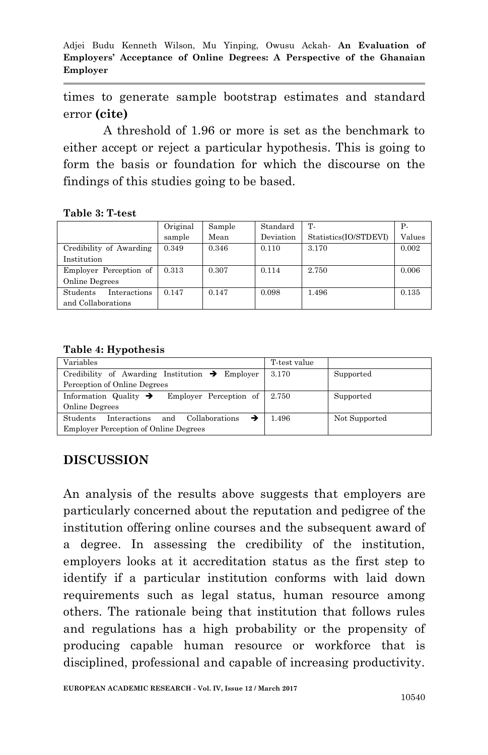times to generate sample bootstrap estimates and standard error **(cite)**

A threshold of 1.96 or more is set as the benchmark to either accept or reject a particular hypothesis. This is going to form the basis or foundation for which the discourse on the findings of this studies going to be based.

**Table 3: T-test** 

|                                                | Original | Sample | Standard  | T-                    | Р.     |
|------------------------------------------------|----------|--------|-----------|-----------------------|--------|
|                                                | sample   | Mean   | Deviation | Statistics(IO/STDEVI) | Values |
| Credibility of Awarding                        | 0.349    | 0.346  | 0.110     | 3.170                 | 0.002  |
| Institution                                    |          |        |           |                       |        |
| Employer Perception of                         | 0.313    | 0.307  | 0.114     | 2.750                 | 0.006  |
| Online Degrees                                 |          |        |           |                       |        |
| Students<br>Interactions<br>and Collaborations | 0.147    | 0.147  | 0.098     | 1.496                 | 0.135  |

**Table 4: Hypothesis**

| Variables                                                      | T-test value |               |
|----------------------------------------------------------------|--------------|---------------|
| Credibility of Awarding Institution $\rightarrow$ Employer     | 3.170        | Supported     |
| Perception of Online Degrees                                   |              |               |
| Information Quality $\rightarrow$ Employer Perception of 2.750 |              | Supported     |
| Online Degrees                                                 |              |               |
| <b>Students</b><br>and Collaborations<br>Interactions          | 1.496        | Not Supported |
| <b>Employer Perception of Online Degrees</b>                   |              |               |

# **DISCUSSION**

An analysis of the results above suggests that employers are particularly concerned about the reputation and pedigree of the institution offering online courses and the subsequent award of a degree. In assessing the credibility of the institution, employers looks at it accreditation status as the first step to identify if a particular institution conforms with laid down requirements such as legal status, human resource among others. The rationale being that institution that follows rules and regulations has a high probability or the propensity of producing capable human resource or workforce that is disciplined, professional and capable of increasing productivity.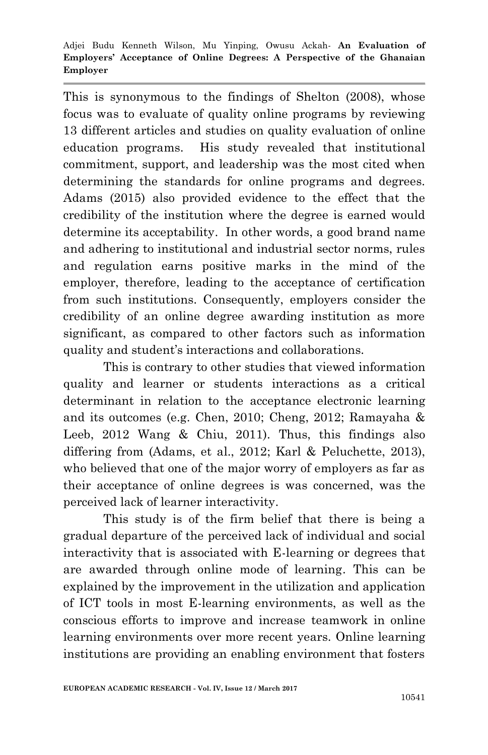This is synonymous to the findings of Shelton (2008), whose focus was to evaluate of quality online programs by reviewing 13 different articles and studies on quality evaluation of online education programs. His study revealed that institutional commitment, support, and leadership was the most cited when determining the standards for online programs and degrees. Adams (2015) also provided evidence to the effect that the credibility of the institution where the degree is earned would determine its acceptability. In other words, a good brand name and adhering to institutional and industrial sector norms, rules and regulation earns positive marks in the mind of the employer, therefore, leading to the acceptance of certification from such institutions. Consequently, employers consider the credibility of an online degree awarding institution as more significant, as compared to other factors such as information quality and student's interactions and collaborations.

This is contrary to other studies that viewed information quality and learner or students interactions as a critical determinant in relation to the acceptance electronic learning and its outcomes (e.g. Chen, 2010; Cheng, 2012; Ramayaha & Leeb, 2012 Wang & Chiu, 2011). Thus, this findings also differing from (Adams, et al., 2012; Karl & Peluchette, 2013), who believed that one of the major worry of employers as far as their acceptance of online degrees is was concerned, was the perceived lack of learner interactivity.

This study is of the firm belief that there is being a gradual departure of the perceived lack of individual and social interactivity that is associated with E-learning or degrees that are awarded through online mode of learning. This can be explained by the improvement in the utilization and application of ICT tools in most E-learning environments, as well as the conscious efforts to improve and increase teamwork in online learning environments over more recent years. Online learning institutions are providing an enabling environment that fosters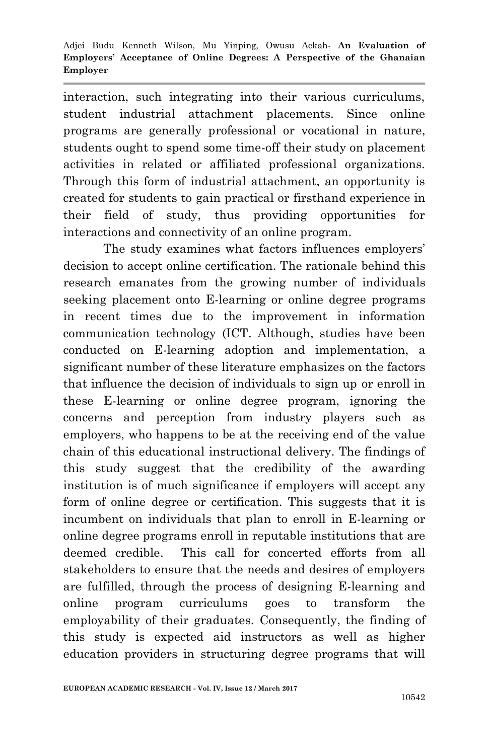interaction, such integrating into their various curriculums, student industrial attachment placements. Since online programs are generally professional or vocational in nature, students ought to spend some time-off their study on placement activities in related or affiliated professional organizations. Through this form of industrial attachment, an opportunity is created for students to gain practical or firsthand experience in their field of study, thus providing opportunities for interactions and connectivity of an online program.

The study examines what factors influences employers' decision to accept online certification. The rationale behind this research emanates from the growing number of individuals seeking placement onto E-learning or online degree programs in recent times due to the improvement in information communication technology (ICT. Although, studies have been conducted on E-learning adoption and implementation, a significant number of these literature emphasizes on the factors that influence the decision of individuals to sign up or enroll in these E-learning or online degree program, ignoring the concerns and perception from industry players such as employers, who happens to be at the receiving end of the value chain of this educational instructional delivery. The findings of this study suggest that the credibility of the awarding institution is of much significance if employers will accept any form of online degree or certification. This suggests that it is incumbent on individuals that plan to enroll in E-learning or online degree programs enroll in reputable institutions that are deemed credible. This call for concerted efforts from all stakeholders to ensure that the needs and desires of employers are fulfilled, through the process of designing E-learning and online program curriculums goes to transform the employability of their graduates. Consequently, the finding of this study is expected aid instructors as well as higher education providers in structuring degree programs that will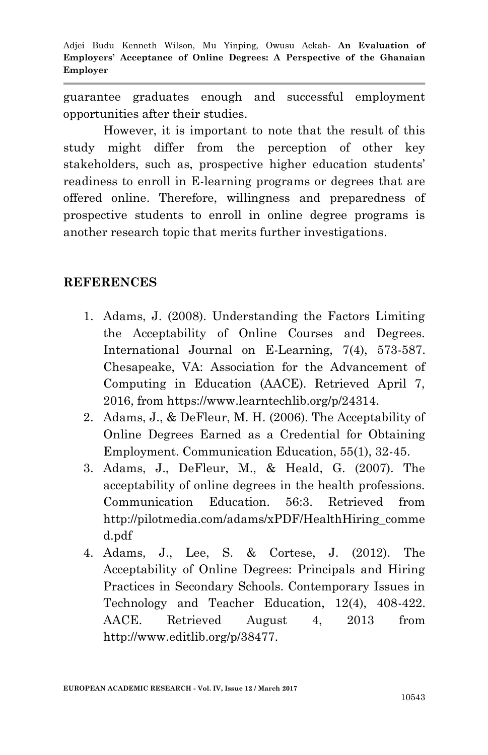guarantee graduates enough and successful employment opportunities after their studies.

However, it is important to note that the result of this study might differ from the perception of other key stakeholders, such as, prospective higher education students' readiness to enroll in E-learning programs or degrees that are offered online. Therefore, willingness and preparedness of prospective students to enroll in online degree programs is another research topic that merits further investigations.

### **REFERENCES**

- 1. Adams, J. (2008). Understanding the Factors Limiting the Acceptability of Online Courses and Degrees. International Journal on E-Learning, 7(4), 573-587. Chesapeake, VA: Association for the Advancement of Computing in Education (AACE). Retrieved April 7, 2016, from https://www.learntechlib.org/p/24314.
- 2. Adams, J., & DeFleur, M. H. (2006). The Acceptability of Online Degrees Earned as a Credential for Obtaining Employment. Communication Education, 55(1), 32-45.
- 3. Adams, J., DeFleur, M., & Heald, G. (2007). The acceptability of online degrees in the health professions. Communication Education. 56:3. Retrieved from http://pilotmedia.com/adams/xPDF/HealthHiring\_comme d.pdf
- 4. Adams, J., Lee, S. & Cortese, J. (2012). The Acceptability of Online Degrees: Principals and Hiring Practices in Secondary Schools. Contemporary Issues in Technology and Teacher Education, 12(4), 408-422. AACE. Retrieved August 4, 2013 from http://www.editlib.org/p/38477.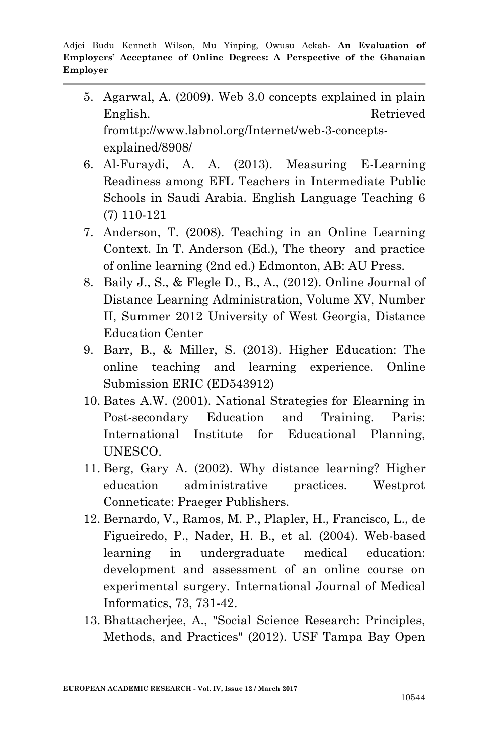- 5. Agarwal, A. (2009). Web 3.0 concepts explained in plain English. Retrieved fromttp://www.labnol.org/Internet/web-3-conceptsexplained/8908/
- 6. Al-Furaydi, A. A. (2013). Measuring E-Learning Readiness among EFL Teachers in Intermediate Public Schools in Saudi Arabia. English Language Teaching 6 (7) 110-121
- 7. Anderson, T. (2008). Teaching in an Online Learning Context. In T. Anderson (Ed.), The theory and practice of online learning (2nd ed.) Edmonton, AB: AU Press.
- 8. Baily J., S., & Flegle D., B., A., (2012). Online Journal of Distance Learning Administration, Volume XV, Number II, Summer 2012 University of West Georgia, Distance Education Center
- 9. Barr, B., & Miller, S. (2013). Higher Education: The online teaching and learning experience. Online Submission ERIC (ED543912)
- 10. Bates A.W. (2001). National Strategies for Elearning in Post-secondary Education and Training. Paris: International Institute for Educational Planning, UNESCO.
- 11. Berg, Gary A. (2002). Why distance learning? Higher education administrative practices. Westprot Conneticate: Praeger Publishers.
- 12. Bernardo, V., Ramos, M. P., Plapler, H., Francisco, L., de Figueiredo, P., Nader, H. B., et al. (2004). Web-based learning in undergraduate medical education: development and assessment of an online course on experimental surgery. International Journal of Medical Informatics, 73, 731-42.
- 13. Bhattacherjee, A., "Social Science Research: Principles, Methods, and Practices" (2012). USF Tampa Bay Open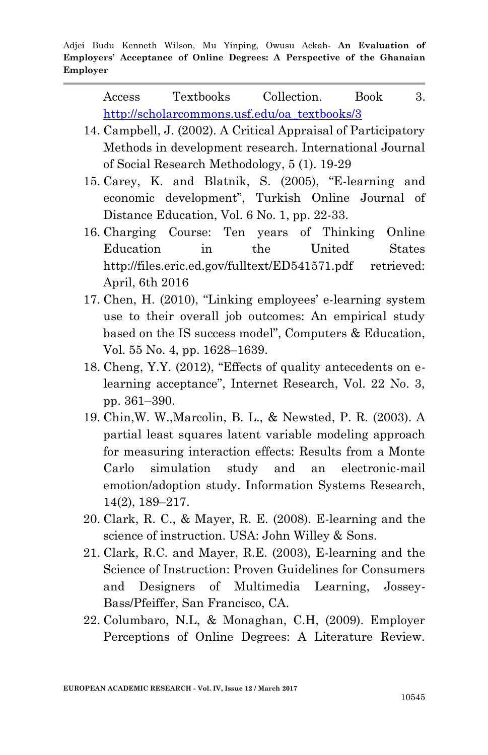Access Textbooks Collection. Book 3. [http://scholarcommons.usf.edu/oa\\_textbooks/3](http://scholarcommons.usf.edu/oa_textbooks/3)

- 14. Campbell, J. (2002). A Critical Appraisal of Participatory Methods in development research. International Journal of Social Research Methodology, 5 (1). 19-29
- 15. Carey, K. and Blatnik, S. (2005), "E-learning and economic development", Turkish Online Journal of Distance Education, Vol. 6 No. 1, pp. 22-33.
- 16. Charging Course: Ten years of Thinking Online Education in the United States http://files.eric.ed.gov/fulltext/ED541571.pdf retrieved: April, 6th 2016
- 17. Chen, H. (2010), "Linking employees' e-learning system use to their overall job outcomes: An empirical study based on the IS success model", Computers & Education, Vol. 55 No. 4, pp. 1628–1639.
- 18. Cheng, Y.Y. (2012), "Effects of quality antecedents on elearning acceptance", Internet Research, Vol. 22 No. 3, pp. 361–390.
- 19. Chin,W. W.,Marcolin, B. L., & Newsted, P. R. (2003). A partial least squares latent variable modeling approach for measuring interaction effects: Results from a Monte Carlo simulation study and an electronic-mail emotion/adoption study. Information Systems Research, 14(2), 189–217.
- 20. Clark, R. C., & Mayer, R. E. (2008). E-learning and the science of instruction. USA: John Willey & Sons.
- 21. Clark, R.C. and Mayer, R.E. (2003), E-learning and the Science of Instruction: Proven Guidelines for Consumers and Designers of Multimedia Learning, Jossey-Bass/Pfeiffer, San Francisco, CA.
- 22. Columbaro, N.L, & Monaghan, C.H, (2009). Employer Perceptions of Online Degrees: A Literature Review.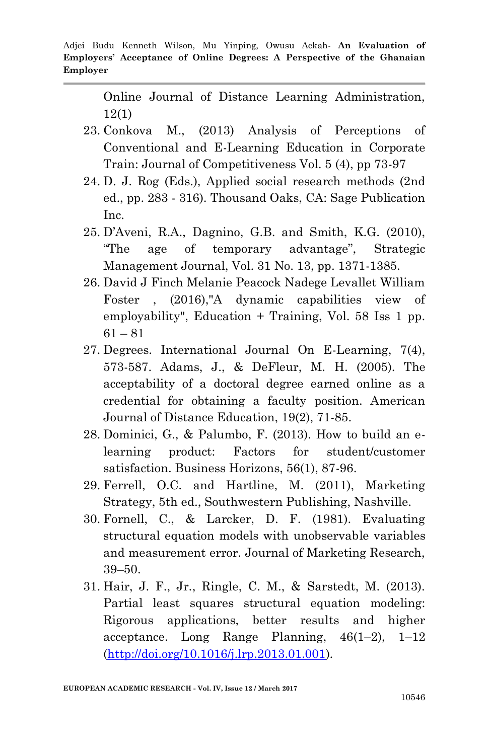Online Journal of Distance Learning Administration, 12(1)

- 23. Conkova M., (2013) Analysis of Perceptions of Conventional and E-Learning Education in Corporate Train: Journal of Competitiveness Vol. 5 (4), pp 73-97
- 24. D. J. Rog (Eds.), Applied social research methods (2nd ed., pp. 283 - 316). Thousand Oaks, CA: Sage Publication Inc.
- 25. D'Aveni, R.A., Dagnino, G.B. and Smith, K.G. (2010), "The age of temporary advantage", Strategic Management Journal, Vol. 31 No. 13, pp. 1371-1385.
- 26. David J Finch Melanie Peacock Nadege Levallet William Foster , (2016),"A dynamic capabilities view of employability", Education + Training, Vol. 58 Iss 1 pp.  $61 - 81$
- 27. Degrees. International Journal On E-Learning, 7(4), 573-587. Adams, J., & DeFleur, M. H. (2005). The acceptability of a doctoral degree earned online as a credential for obtaining a faculty position. American Journal of Distance Education, 19(2), 71-85.
- 28. Dominici, G., & Palumbo, F. (2013). How to build an elearning product: Factors for student/customer satisfaction. Business Horizons, 56(1), 87-96.
- 29. Ferrell, O.C. and Hartline, M. (2011), Marketing Strategy, 5th ed., Southwestern Publishing, Nashville.
- 30. Fornell, C., & Larcker, D. F. (1981). Evaluating structural equation models with unobservable variables and measurement error. Journal of Marketing Research, 39–50.
- 31. Hair, J. F., Jr., Ringle, C. M., & Sarstedt, M. (2013). Partial least squares structural equation modeling: Rigorous applications, better results and higher acceptance. Long Range Planning,  $46(1-2)$ ,  $1-12$ [\(http://doi.org/10.1016/j.lrp.2013.01.001\)](http://doi.org/10.1016/j.lrp.2013.01.001).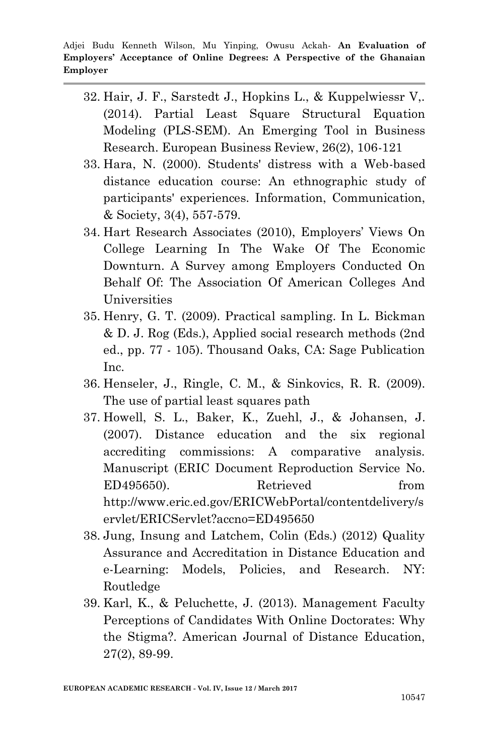- 32. Hair, J. F., Sarstedt J., Hopkins L., & Kuppelwiessr V,. (2014). Partial Least Square Structural Equation Modeling (PLS-SEM). An Emerging Tool in Business Research. European Business Review, 26(2), 106-121
- 33. Hara, N. (2000). Students' distress with a Web-based distance education course: An ethnographic study of participants' experiences. Information, Communication, & Society, 3(4), 557-579.
- 34. Hart Research Associates (2010), Employers' Views On College Learning In The Wake Of The Economic Downturn. A Survey among Employers Conducted On Behalf Of: The Association Of American Colleges And Universities
- 35. Henry, G. T. (2009). Practical sampling. In L. Bickman & D. J. Rog (Eds.), Applied social research methods (2nd ed., pp. 77 - 105). Thousand Oaks, CA: Sage Publication Inc.
- 36. Henseler, J., Ringle, C. M., & Sinkovics, R. R. (2009). The use of partial least squares path
- 37. Howell, S. L., Baker, K., Zuehl, J., & Johansen, J. (2007). Distance education and the six regional accrediting commissions: A comparative analysis. Manuscript (ERIC Document Reproduction Service No. ED495650). Retrieved from http://www.eric.ed.gov/ERICWebPortal/contentdelivery/s ervlet/ERICServlet?accno=ED495650
- 38. Jung, Insung and Latchem, Colin (Eds.) (2012) Quality Assurance and Accreditation in Distance Education and e-Learning: Models, Policies, and Research. NY: Routledge
- 39. Karl, K., & Peluchette, J. (2013). Management Faculty Perceptions of Candidates With Online Doctorates: Why the Stigma?. American Journal of Distance Education, 27(2), 89-99.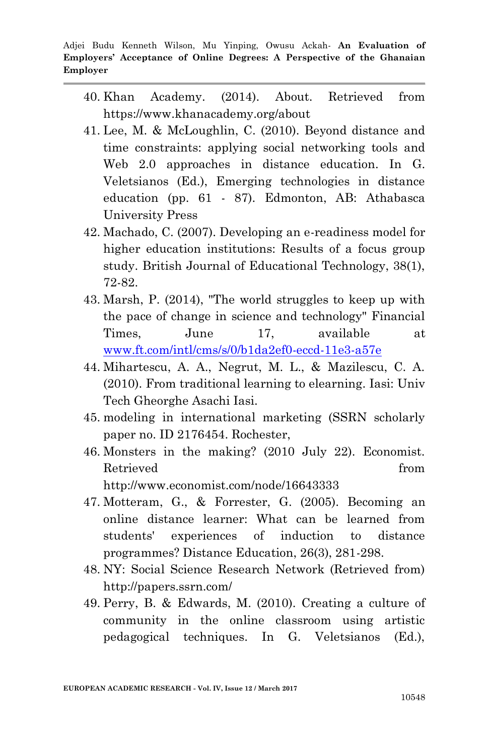- 40. Khan Academy. (2014). About. Retrieved from https://www.khanacademy.org/about
- 41. Lee, M. & McLoughlin, C. (2010). Beyond distance and time constraints: applying social networking tools and Web 2.0 approaches in distance education. In G. Veletsianos (Ed.), Emerging technologies in distance education (pp. 61 - 87). Edmonton, AB: Athabasca University Press
- 42. Machado, C. (2007). Developing an e-readiness model for higher education institutions: Results of a focus group study. British Journal of Educational Technology, 38(1), 72-82.
- 43. Marsh, P. (2014), "The world struggles to keep up with the pace of change in science and technology" Financial Times, June 17, available at [www.ft.com/intl/cms/s/0/b1da2ef0-eccd-11e3-a57e](http://www.ft.com/intl/cms/s/0/b1da2ef0-eccd-11e3-a57e)
- 44. Mihartescu, A. A., Negrut, M. L., & Mazilescu, C. A. (2010). From traditional learning to elearning. Iasi: Univ Tech Gheorghe Asachi Iasi.
- 45. modeling in international marketing (SSRN scholarly paper no. ID 2176454. Rochester,
- 46. Monsters in the making? (2010 July 22). Economist. Retrieved from http://www.economist.com/node/16643333
- 47. Motteram, G., & Forrester, G. (2005). Becoming an online distance learner: What can be learned from students' experiences of induction to distance programmes? Distance Education, 26(3), 281-298.
- 48. NY: Social Science Research Network (Retrieved from) http://papers.ssrn.com/
- 49. Perry, B. & Edwards, M. (2010). Creating a culture of community in the online classroom using artistic pedagogical techniques. In G. Veletsianos (Ed.),